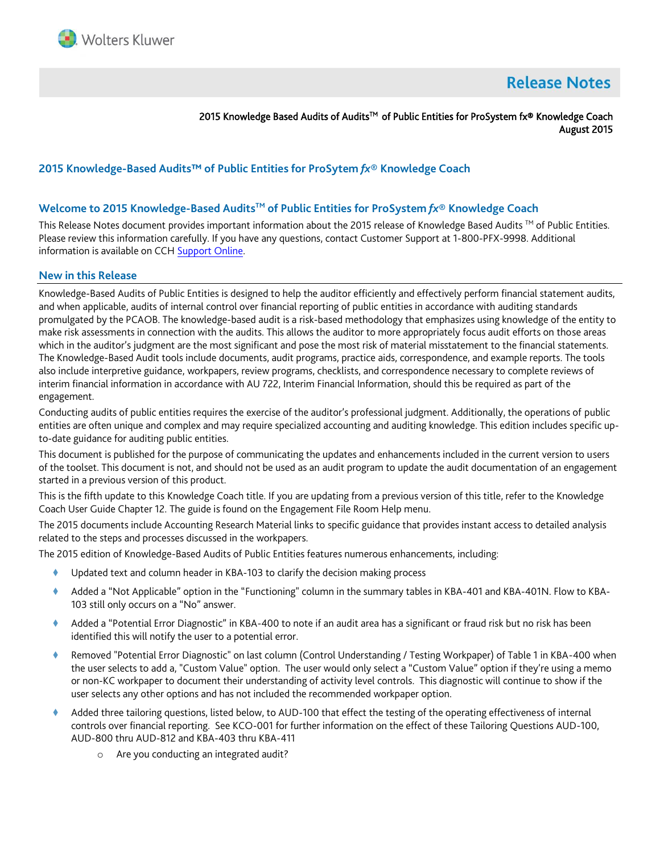

# **Release Notes**

2015 Knowledge Based Audits of Audits™ of Public Entities for ProSystem fx® Knowledge Coach August 2015

# **2015 Knowledge-Based Audits™ of Public Entities for ProSytem** *fx***® Knowledge Coach**

## **Welcome to 2015 Knowledge-Based AuditsTM of Public Entities for ProSystem** *fx***® Knowledge Coach**

This Release Notes document provides important information about the 2015 release of Knowledge Based Audits ™ of Public Entities. Please review this information carefully. If you have any questions, contact Customer Support at 1-800-PFX-9998. Additional information is available on CC[H Support Online.](http://support.cch.com/productsupport/)

#### **New in this Release**

Knowledge-Based Audits of Public Entities is designed to help the auditor efficiently and effectively perform financial statement audits, and when applicable, audits of internal control over financial reporting of public entities in accordance with auditing standards promulgated by the PCAOB. The knowledge-based audit is a risk-based methodology that emphasizes using knowledge of the entity to make risk assessments in connection with the audits. This allows the auditor to more appropriately focus audit efforts on those areas which in the auditor's judgment are the most significant and pose the most risk of material misstatement to the financial statements. The Knowledge-Based Audit tools include documents, audit programs, practice aids, correspondence, and example reports. The tools also include interpretive guidance, workpapers, review programs, checklists, and correspondence necessary to complete reviews of interim financial information in accordance with AU 722, Interim Financial Information, should this be required as part of the engagement.

Conducting audits of public entities requires the exercise of the auditor's professional judgment. Additionally, the operations of public entities are often unique and complex and may require specialized accounting and auditing knowledge. This edition includes specific upto-date guidance for auditing public entities.

This document is published for the purpose of communicating the updates and enhancements included in the current version to users of the toolset. This document is not, and should not be used as an audit program to update the audit documentation of an engagement started in a previous version of this product.

This is the fifth update to this Knowledge Coach title. If you are updating from a previous version of this title, refer to the Knowledge Coach User Guide Chapter 12. The guide is found on the Engagement File Room Help menu.

The 2015 documents include Accounting Research Material links to specific guidance that provides instant access to detailed analysis related to the steps and processes discussed in the workpapers.

The 2015 edition of Knowledge-Based Audits of Public Entities features numerous enhancements, including:

- Updated text and column header in KBA-103 to clarify the decision making process
- Added a "Not Applicable" option in the "Functioning" column in the summary tables in KBA-401 and KBA-401N. Flow to KBA-103 still only occurs on a "No" answer.
- Added a "Potential Error Diagnostic" in KBA-400 to note if an audit area has a significant or fraud risk but no risk has been identified this will notify the user to a potential error.
- Removed "Potential Error Diagnostic" on last column (Control Understanding / Testing Workpaper) of Table 1 in KBA-400 when the user selects to add a, "Custom Value" option. The user would only select a "Custom Value" option if they're using a memo or non-KC workpaper to document their understanding of activity level controls. This diagnostic will continue to show if the user selects any other options and has not included the recommended workpaper option.
- Added three tailoring questions, listed below, to AUD-100 that effect the testing of the operating effectiveness of internal controls over financial reporting. See KCO-001 for further information on the effect of these Tailoring Questions AUD-100, AUD-800 thru AUD-812 and KBA-403 thru KBA-411
	- o Are you conducting an integrated audit?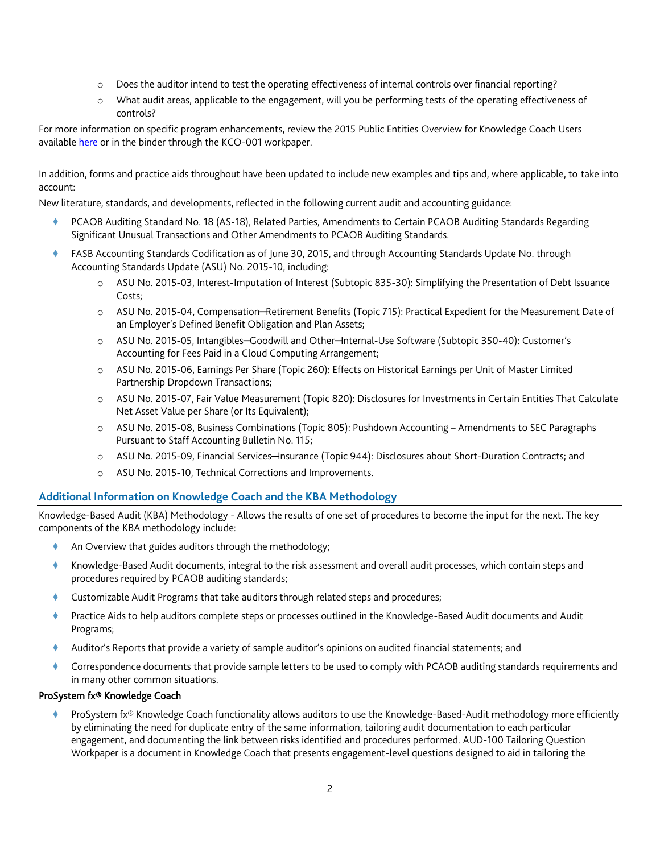- o Does the auditor intend to test the operating effectiveness of internal controls over financial reporting?
- o What audit areas, applicable to the engagement, will you be performing tests of the operating effectiveness of controls?

For more information on specific program enhancements, review the 2015 Public Entities Overview for Knowledge Coach Users available [here](http://support.cch.com/updates/KnowledgeCoach/pdf/guides_tab/2015%20Public%20Entities%20Title%20Overview%20for%20Knowledge%20Coach%20Users.pdf) or in the binder through the KCO-001 workpaper.

In addition, forms and practice aids throughout have been updated to include new examples and tips and, where applicable, to take into account:

New literature, standards, and developments, reflected in the following current audit and accounting guidance:

- PCAOB Auditing Standard No. 18 (AS-18), Related Parties, Amendments to Certain PCAOB Auditing Standards Regarding Significant Unusual Transactions and Other Amendments to PCAOB Auditing Standards.
- FASB Accounting Standards Codification as of June 30, 2015, and through Accounting Standards Update No. through Accounting Standards Update (ASU) No. 2015-10, including:
	- o ASU No. 2015-03, Interest-Imputation of Interest (Subtopic 835-30): Simplifying the Presentation of Debt Issuance Costs;
	- o ASU No. 2015-04, Compensation─Retirement Benefits (Topic 715): Practical Expedient for the Measurement Date of an Employer's Defined Benefit Obligation and Plan Assets;
	- o ASU No. 2015-05, Intangibles─Goodwill and Other─Internal-Use Software (Subtopic 350-40): Customer's Accounting for Fees Paid in a Cloud Computing Arrangement;
	- o ASU No. 2015-06, Earnings Per Share (Topic 260): Effects on Historical Earnings per Unit of Master Limited Partnership Dropdown Transactions;
	- o ASU No. 2015-07, Fair Value Measurement (Topic 820): Disclosures for Investments in Certain Entities That Calculate Net Asset Value per Share (or Its Equivalent);
	- o ASU No. 2015-08, Business Combinations (Topic 805): Pushdown Accounting Amendments to SEC Paragraphs Pursuant to Staff Accounting Bulletin No. 115;
	- o ASU No. 2015-09, Financial Services─Insurance (Topic 944): Disclosures about Short-Duration Contracts; and
	- o ASU No. 2015-10, Technical Corrections and Improvements.

# **Additional Information on Knowledge Coach and the KBA Methodology**

Knowledge-Based Audit (KBA) Methodology - Allows the results of one set of procedures to become the input for the next. The key components of the KBA methodology include:

- An Overview that guides auditors through the methodology;
- Knowledge-Based Audit documents, integral to the risk assessment and overall audit processes, which contain steps and procedures required by PCAOB auditing standards;
- Customizable Audit Programs that take auditors through related steps and procedures;
- Practice Aids to help auditors complete steps or processes outlined in the Knowledge-Based Audit documents and Audit Programs;
- Auditor's Reports that provide a variety of sample auditor's opinions on audited financial statements; and
- Correspondence documents that provide sample letters to be used to comply with PCAOB auditing standards requirements and in many other common situations.

# ProSystem fx® Knowledge Coach

 ProSystem fx® Knowledge Coach functionality allows auditors to use the Knowledge-Based-Audit methodology more efficiently by eliminating the need for duplicate entry of the same information, tailoring audit documentation to each particular engagement, and documenting the link between risks identified and procedures performed. AUD-100 Tailoring Question Workpaper is a document in Knowledge Coach that presents engagement-level questions designed to aid in tailoring the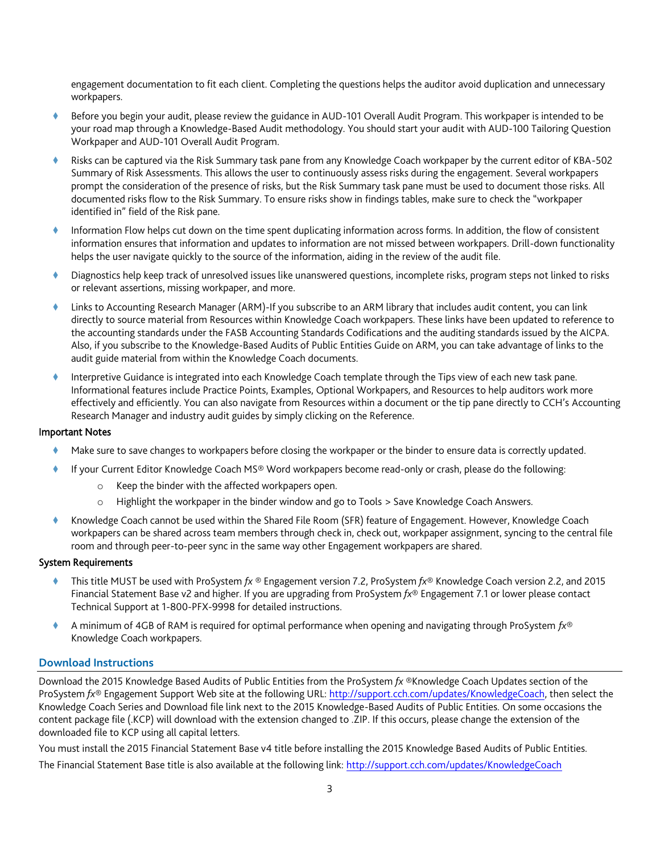engagement documentation to fit each client. Completing the questions helps the auditor avoid duplication and unnecessary workpapers.

- Before you begin your audit, please review the guidance in AUD-101 Overall Audit Program. This workpaper is intended to be your road map through a Knowledge-Based Audit methodology. You should start your audit with AUD-100 Tailoring Question Workpaper and AUD-101 Overall Audit Program.
- Risks can be captured via the Risk Summary task pane from any Knowledge Coach workpaper by the current editor of KBA-502 Summary of Risk Assessments. This allows the user to continuously assess risks during the engagement. Several workpapers prompt the consideration of the presence of risks, but the Risk Summary task pane must be used to document those risks. All documented risks flow to the Risk Summary. To ensure risks show in findings tables, make sure to check the "workpaper identified in" field of the Risk pane.
- Information Flow helps cut down on the time spent duplicating information across forms. In addition, the flow of consistent information ensures that information and updates to information are not missed between workpapers. Drill-down functionality helps the user navigate quickly to the source of the information, aiding in the review of the audit file.
- Diagnostics help keep track of unresolved issues like unanswered questions, incomplete risks, program steps not linked to risks or relevant assertions, missing workpaper, and more.
- Links to Accounting Research Manager (ARM)-If you subscribe to an ARM library that includes audit content, you can link directly to source material from Resources within Knowledge Coach workpapers. These links have been updated to reference to the accounting standards under the FASB Accounting Standards Codifications and the auditing standards issued by the AICPA. Also, if you subscribe to the Knowledge-Based Audits of Public Entities Guide on ARM, you can take advantage of links to the audit guide material from within the Knowledge Coach documents.
- Interpretive Guidance is integrated into each Knowledge Coach template through the Tips view of each new task pane. Informational features include Practice Points, Examples, Optional Workpapers, and Resources to help auditors work more effectively and efficiently. You can also navigate from Resources within a document or the tip pane directly to CCH's Accounting Research Manager and industry audit guides by simply clicking on the Reference.

#### Important Notes

- Make sure to save changes to workpapers before closing the workpaper or the binder to ensure data is correctly updated.
- If your Current Editor Knowledge Coach MS® Word workpapers become read-only or crash, please do the following:
	- o Keep the binder with the affected workpapers open.
	- o Highlight the workpaper in the binder window and go to Tools > Save Knowledge Coach Answers.
- Knowledge Coach cannot be used within the Shared File Room (SFR) feature of Engagement. However, Knowledge Coach workpapers can be shared across team members through check in, check out, workpaper assignment, syncing to the central file room and through peer-to-peer sync in the same way other Engagement workpapers are shared.

## System Requirements

- This title MUST be used with ProSystem *fx* ® Engagement version 7.2, ProSystem *fx*® Knowledge Coach version 2.2, and 2015 Financial Statement Base v2 and higher. If you are upgrading from ProSystem *fx*® Engagement 7.1 or lower please contact Technical Support at 1-800-PFX-9998 for detailed instructions.
- A minimum of 4GB of RAM is required for optimal performance when opening and navigating through ProSystem *fx*® Knowledge Coach workpapers.

# **Download Instructions**

Download the 2015 Knowledge Based Audits of Public Entities from the ProSystem *fx* ®Knowledge Coach Updates section of the ProSystem *fx*® Engagement Support Web site at the following URL[: http://support.cch.com/updates/KnowledgeCoach,](http://support.cch.com/updates/KnowledgeCoach) then select the Knowledge Coach Series and Download file link next to the 2015 Knowledge-Based Audits of Public Entities. On some occasions the content package file (.KCP) will download with the extension changed to .ZIP. If this occurs, please change the extension of the downloaded file to KCP using all capital letters.

You must install the 2015 Financial Statement Base v4 title before installing the 2015 Knowledge Based Audits of Public Entities. The Financial Statement Base title is also available at the following link:<http://support.cch.com/updates/KnowledgeCoach>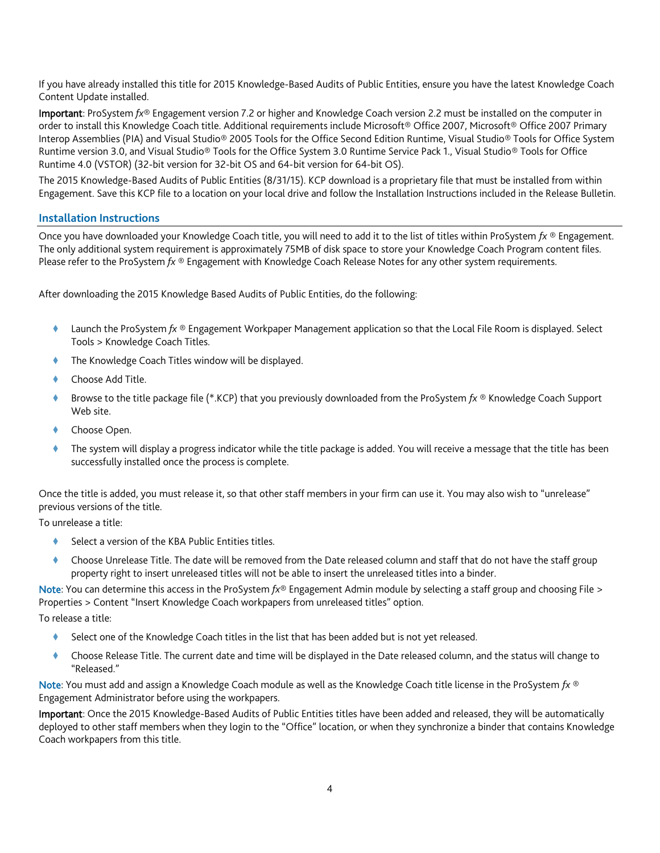If you have already installed this title for 2015 Knowledge-Based Audits of Public Entities, ensure you have the latest Knowledge Coach Content Update installed.

Important: ProSystem *fx*® Engagement version 7.2 or higher and Knowledge Coach version 2.2 must be installed on the computer in order to install this Knowledge Coach title. Additional requirements include Microsoft® Office 2007, Microsoft® Office 2007 Primary Interop Assemblies (PIA) and Visual Studio® 2005 Tools for the Office Second Edition Runtime, Visual Studio® Tools for Office System Runtime version 3.0, and Visual Studio® Tools for the Office System 3.0 Runtime Service Pack 1., Visual Studio® Tools for Office Runtime 4.0 (VSTOR) (32-bit version for 32-bit OS and 64-bit version for 64-bit OS).

The 2015 Knowledge-Based Audits of Public Entities (8/31/15). KCP download is a proprietary file that must be installed from within Engagement. Save this KCP file to a location on your local drive and follow the Installation Instructions included in the Release Bulletin.

#### **Installation Instructions**

Once you have downloaded your Knowledge Coach title, you will need to add it to the list of titles within ProSystem *fx* ® Engagement. The only additional system requirement is approximately 75MB of disk space to store your Knowledge Coach Program content files. Please refer to the ProSystem *fx* ® Engagement with Knowledge Coach Release Notes for any other system requirements.

After downloading the 2015 Knowledge Based Audits of Public Entities, do the following:

- Launch the ProSystem *fx* ® Engagement Workpaper Management application so that the Local File Room is displayed. Select Tools > Knowledge Coach Titles.
- The Knowledge Coach Titles window will be displayed.
- Choose Add Title.
- Browse to the title package file (\*.KCP) that you previously downloaded from the ProSystem *fx* ® Knowledge Coach Support Web site.
- Choose Open.
- The system will display a progress indicator while the title package is added. You will receive a message that the title has been successfully installed once the process is complete.

Once the title is added, you must release it, so that other staff members in your firm can use it. You may also wish to "unrelease" previous versions of the title.

To unrelease a title:

- Select a version of the KBA Public Entities titles.
- Choose Unrelease Title. The date will be removed from the Date released column and staff that do not have the staff group property right to insert unreleased titles will not be able to insert the unreleased titles into a binder.

Note: You can determine this access in the ProSystem *fx*® Engagement Admin module by selecting a staff group and choosing File > Properties > Content "Insert Knowledge Coach workpapers from unreleased titles" option.

To release a title:

- Select one of the Knowledge Coach titles in the list that has been added but is not yet released.
- Choose Release Title. The current date and time will be displayed in the Date released column, and the status will change to "Released."

Note: You must add and assign a Knowledge Coach module as well as the Knowledge Coach title license in the ProSystem *fx* ® Engagement Administrator before using the workpapers.

Important: Once the 2015 Knowledge-Based Audits of Public Entities titles have been added and released, they will be automatically deployed to other staff members when they login to the "Office" location, or when they synchronize a binder that contains Knowledge Coach workpapers from this title.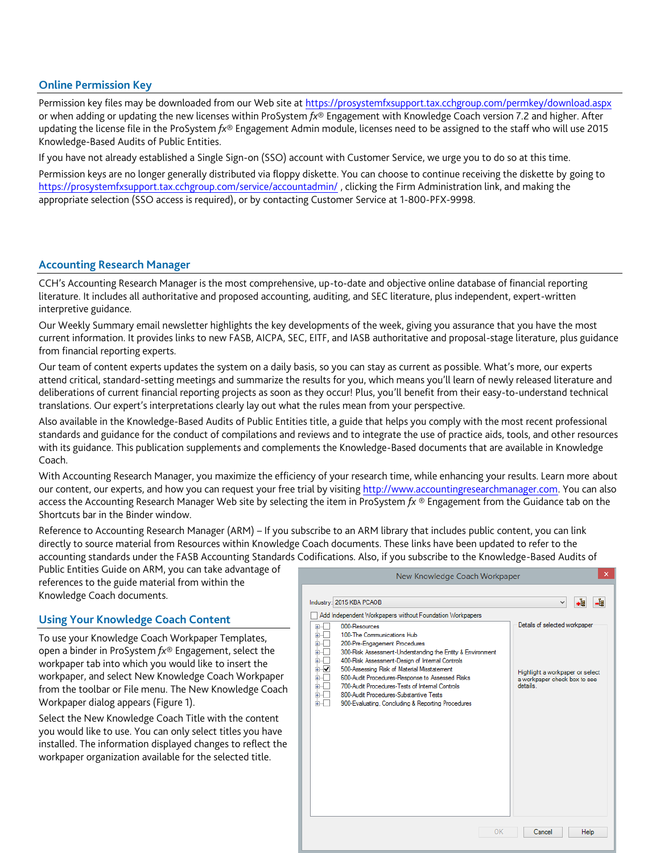## **Online Permission Key**

Permission key files may be downloaded from our Web site a[t https://prosystemfxsupport.tax.cchgroup.com/permkey/download.aspx](https://prosystemfxsupport.tax.cchgroup.com/permkey/download.aspx)  or when adding or updating the new licenses within ProSystem *fx*® Engagement with Knowledge Coach version 7.2 and higher. After updating the license file in the ProSystem *fx*® Engagement Admin module, licenses need to be assigned to the staff who will use 2015 Knowledge-Based Audits of Public Entities.

If you have not already established a Single Sign-on (SSO) account with Customer Service, we urge you to do so at this time. Permission keys are no longer generally distributed via floppy diskette. You can choose to continue receiving the diskette by going to <https://prosystemfxsupport.tax.cchgroup.com/service/accountadmin/> , clicking the Firm Administration link, and making the appropriate selection (SSO access is required), or by contacting Customer Service at 1-800-PFX-9998.

## **Accounting Research Manager**

CCH's Accounting Research Manager is the most comprehensive, up-to-date and objective online database of financial reporting literature. It includes all authoritative and proposed accounting, auditing, and SEC literature, plus independent, expert-written interpretive guidance.

Our Weekly Summary email newsletter highlights the key developments of the week, giving you assurance that you have the most current information. It provides links to new FASB, AICPA, SEC, EITF, and IASB authoritative and proposal-stage literature, plus guidance from financial reporting experts.

Our team of content experts updates the system on a daily basis, so you can stay as current as possible. What's more, our experts attend critical, standard-setting meetings and summarize the results for you, which means you'll learn of newly released literature and deliberations of current financial reporting projects as soon as they occur! Plus, you'll benefit from their easy-to-understand technical translations. Our expert's interpretations clearly lay out what the rules mean from your perspective.

Also available in the Knowledge-Based Audits of Public Entities title, a guide that helps you comply with the most recent professional standards and guidance for the conduct of compilations and reviews and to integrate the use of practice aids, tools, and other resources with its guidance. This publication supplements and complements the Knowledge-Based documents that are available in Knowledge Coach.

With Accounting Research Manager, you maximize the efficiency of your research time, while enhancing your results. Learn more about our content, our experts, and how you can request your free trial by visiting [http://www.accountingresearchmanager.com.](http://www.accountingresearchmanager.com/) You can also access the Accounting Research Manager Web site by selecting the item in ProSystem *fx* ® Engagement from the Guidance tab on the Shortcuts bar in the Binder window.

Reference to Accounting Research Manager (ARM) – If you subscribe to an ARM library that includes public content, you can link directly to source material from Resources within Knowledge Coach documents. These links have been updated to refer to the accounting standards under the FASB Accounting Standards Codifications. Also, if you subscribe to the Knowledge-Based Audits of

Public Entities Guide on ARM, you can take advantage of references to the guide material from within the Knowledge Coach documents.

# **Using Your Knowledge Coach Content**

To use your Knowledge Coach Workpaper Templates, open a binder in ProSystem *fx*® Engagement, select the workpaper tab into which you would like to insert the workpaper, and select New Knowledge Coach Workpaper from the toolbar or File menu. The New Knowledge Coach Workpaper dialog appears (Figure 1).

Select the New Knowledge Coach Title with the content you would like to use. You can only select titles you have installed. The information displayed changes to reflect the workpaper organization available for the selected title.

| $\times$<br>New Knowledge Coach Workpaper                                                                                                                                                                                                                                                                                                                                                                                                                                                                 |                                                                                                             |
|-----------------------------------------------------------------------------------------------------------------------------------------------------------------------------------------------------------------------------------------------------------------------------------------------------------------------------------------------------------------------------------------------------------------------------------------------------------------------------------------------------------|-------------------------------------------------------------------------------------------------------------|
| Industry: 2015 KBA PCAOB<br>Add Independent Workpapers without Foundation Workpapers                                                                                                                                                                                                                                                                                                                                                                                                                      | ≣ا⊷<br>-4<br>v                                                                                              |
| 000-Resources<br>$+$<br>100-The Communications Hub<br>田…<br>200-Pre-Engagement Procedures<br>Ė<br>300-Risk Assessment-Understanding the Entity & Environment<br>Ė<br>400-Risk Assessment-Design of Internal Controls<br>÷<br>500-Assessing Risk of Material Misstatement<br>⊞⊹I✔<br>600-Audit Procedures-Response to Assessed Risks<br>Ė<br>700-Audit Procedures-Tests of Internal Controls<br>Ė<br>800-Audit Procedures-Substantive Tests<br>田<br>900-Evaluating, Concluding & Reporting Procedures<br>÷ | Details of selected workpaper<br>Highlight a workpaper or select<br>a workpaper check box to see<br>details |
|                                                                                                                                                                                                                                                                                                                                                                                                                                                                                                           |                                                                                                             |
| OK                                                                                                                                                                                                                                                                                                                                                                                                                                                                                                        | Help<br>Cancel                                                                                              |